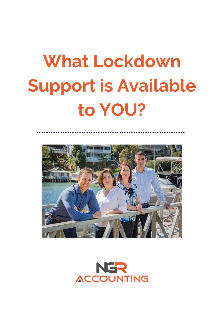# **What Lockdown Support is Available** to YOU?



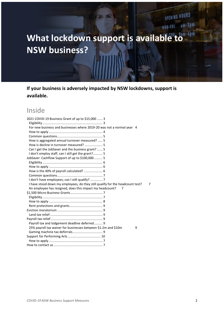# What lockdown support is available to **NSW business?**

**If your business is adversely impacted by NSW lockdowns, support is available.**

# Inside

| 2021 COVID-19 Business Grant of up to \$15,000  3                                  |
|------------------------------------------------------------------------------------|
|                                                                                    |
| For new business and businesses where 2019-20 was not a normal year 4              |
|                                                                                    |
|                                                                                    |
| How is aggregated annual turnover measured?  5                                     |
|                                                                                    |
| Can I get the JobSaver and the business grant?  5                                  |
| I don't employ staff, can I still get the grant? 5                                 |
| JobSaver: Cashflow Support of up to \$100,000  5                                   |
|                                                                                    |
|                                                                                    |
|                                                                                    |
|                                                                                    |
| I don't have employees; can I still qualify?  7                                    |
| I have stood down my employees, do they still qualify for the headcount test?<br>7 |
|                                                                                    |
| An employee has resigned, does this impact my headcount?                           |
|                                                                                    |
|                                                                                    |
|                                                                                    |
|                                                                                    |
|                                                                                    |
|                                                                                    |
|                                                                                    |
| Payroll tax and lodgement deadline deferred 9                                      |
| 25% payroll tax waiver for businesses between \$1.2m and \$10m<br>9                |
|                                                                                    |
|                                                                                    |
|                                                                                    |

OPENING HOURS

MON-FRI am-3pm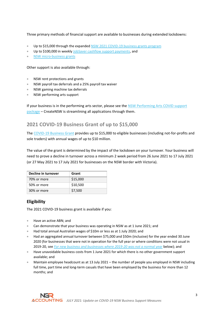Three primary methods of financial support are available to businesses during extended lockdowns:

- Up to \$15,000 through the expanded [NSW 2021 COVID-19 business grants program](#page-2-0)
- Up to \$100,000 in weekl[y JobSaver cashflow support payments,](#page-4-5) and
- [NSW micro-business grants](#page-6-4)

Other support is also available through:

- NSW rent protections and grants
- NSW payroll tax deferrals and a 25% payroll tax waiver
- NSW gaming machine tax deferrals
- NSW performing arts support

If your business is in the performing arts sector, please see the NSW Performing Arts COVID support [package](https://www.create.nsw.gov.au/funding-and-support/nsw-performing-arts-covid-support-package/) – CreateNSW is streamlining all applications through them.

# <span id="page-2-0"></span>**2021 COVID-19 Business Grant of up to \$15,000**

Th[e COVID-19 Business Grant](https://www.service.nsw.gov.au/transaction/2021-covid-19-business-grant) provides up to \$15,000 to eligible businesses (including not-for-profits and sole traders) with annual wages of up to \$10 million.

The value of the grant is determined by the impact of the lockdown on your turnover. Your business will need to prove a decline in turnover across a minimum 2 week period from 26 June 2021 to 17 July 2021 (or 27 May 2021 to 17 July 2021 for businesses on the NSW border with Victoria).

| Decline in turnover | Grant    |
|---------------------|----------|
| 70% or more         | \$15,000 |
| 50% or more         | \$10,500 |
| 30% or more         | \$7,500  |

# <span id="page-2-1"></span>**Eligibility**

<span id="page-2-2"></span>The 2021 COVID-19 business grant is available if you:

- Have an active ABN; and
- Can demonstrate that your business was operating in NSW as at 1 June 2021; and
- Had total annual Australian wages of \$10m or less as at 1 July 2020; and
- Had an aggregated annual turnover between \$75,000 and \$50m (inclusive) for the year ended 30 June 2020 (for businesses that were not in operation for the full year or where conditions were not usual in 2019-20, see *[For new business and businesses where 2019-20 was not a normal year](#page-3-0)* below); and
- Have unavoidable business costs from 1 June 2021 for which there is no other government support available; and
- Maintain employee headcount as at 13 July 2021 the number of people you employed in NSW including full time, part time and long-term casuals that have been employed by the business for more than 12 months; and

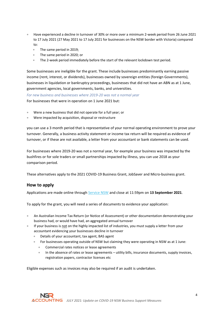- Have experienced a decline in turnover of 30% or more over a minimum 2-week period from 26 June 2021 to 17 July 2021 (27 May 2021 to 17 July 2021 for businesses on the NSW border with Victoria) compared to:
	- The same period in 2019;
	- The same period in 2020; or
	- The 2-week period immediately before the start of the relevant lockdown test period.

Some businesses are ineligible for the grant. These include businesses predominantly earning passive income (rent, interest, or dividends), businesses owned by sovereign entities (foreign Governments), businesses in liquidation or bankruptcy proceedings, businesses that did not have an ABN as at 1 June, government agencies, local governments, banks, and universities.

<span id="page-3-0"></span>*For new business and businesses where 2019-20 was not a normal year* For businesses that were in operation on 1 June 2021 but:

- Were a new business that did not operate for a full year; or
- Were impacted by acquisition, disposal or restructure

you can use a 3 month period that is representative of your normal operating environment to prove your turnover. Generally, a business activity statement or income tax return will be required as evidence of turnover, or if these are not available, a letter from your accountant or bank statements can be used.

For businesses where 2019-20 was not a normal year, for example your business was impacted by the bushfires or for sole traders or small partnerships impacted by illness, you can use 2018 as your comparison period.

<span id="page-3-1"></span>These alternatives apply to the 2021 COVID-19 Business Grant, JobSaver and Micro-business grant.

#### **How to apply**

Applications are made online through [Service NSW](https://www.service.nsw.gov.au/transaction/2021-covid-19-business-grant) and close at 11:59pm on **13 September 2021**.

To apply for the grant, you will need a series of documents to evidence your application:

- An Australian Income Tax Return (or Notice of Assessment) or other documentation demonstrating your business had, or would have had, an aggregated annual turnover
- If your business is not on the highly impacted list of industries, you must supply a letter from your accountant evidencing your businesses decline in turnover
	- Details of your accountant, tax agent, BAS agent
	- For businesses operating outside of NSW but claiming they were operating in NSW as at 1 June:
		- Commercial rates notices or lease agreements
		- In the absence of rates or lease agreements utility bills, insurance documents, supply invoices, registration papers, contractor licenses etc

Eligible expenses such as invoices may also be required if an audit is undertaken.

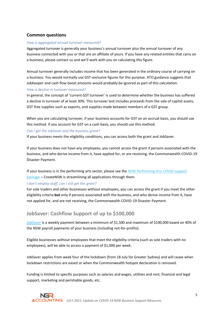# <span id="page-4-0"></span>**Common questions**

#### <span id="page-4-1"></span>*How is aggregated annual turnover measured?*

Aggregated turnover is generally your business's annual turnover plus the annual turnover of any business connected with you or that are an affiliate of yours. If you have any related entities that carry on a business, please contact us and we'll work with you on calculating this figure.

Annual turnover generally includes income that has been generated in the ordinary course of carrying on a business. You would normally use GST-exclusive figures for this purpose. ATO guidance suggests that JobKeeper and cash flow boost amounts would probably be ignored as part of this calculation.

#### <span id="page-4-2"></span>*How is decline in turnover measured?*

In general, the concept of 'current GST turnover' is used to determine whether the business has suffered a decline in turnover of at least 30%. This turnover test includes proceeds from the sale of capital assets, GST free supplies such as exports, and supplies made between members of a GST group.

When you are calculating turnover, if your business accounts for GST on an accrual basis, you should use this method. If you account for GST on a cash basis, you should use this method.

#### <span id="page-4-3"></span>*Can I get the JobSaver and the business grant?*

If your business meets the eligibility conditions, you can access both the grant and JobSaver.

If your business does not have any employees, you cannot access the grant if persons associated with the business, and who derive income from it, have applied for, or are receiving, the Commonwealth COVID-19 Disaster Payment.

If your business is in the performing arts sector, please see th[e NSW Performing Arts COVID support](https://www.create.nsw.gov.au/funding-and-support/nsw-performing-arts-covid-support-package/)  [package](https://www.create.nsw.gov.au/funding-and-support/nsw-performing-arts-covid-support-package/) – CreateNSW is streamlining all applications through them.

#### <span id="page-4-4"></span>*I don't employ staff, can I still get the grant?*

For sole traders and other businesses without employees, you can access the grant if you meet the other eligibility criteria **but** only if persons associated with the business, and who derive income from it, have not applied for, and are not receiving, the Commonwealth COVID-19 Disaster Payment.

# <span id="page-4-5"></span>**JobSaver: Cashflow Support of up to \$100,000**

[JobSaver](https://www.service.nsw.gov.au/transaction/jobsaver-payment) is a weekly payment between a minimum of \$1,500 and maximum of \$100,000 based on 40% of the NSW payroll payments of your business (including not-for-profits).

Eligible businesses without employees that meet the eligibility criteria (such as sole traders with no employees), will be able to access a payment of \$1,000 per week.

JobSaver applies from week four of the lockdown (from 18 July for Greater Sydney) and will cease when lockdown restrictions are eased or when the Commonwealth hotspot declaration is removed.

Funding is limited to specific purposes such as salaries and wages, utilities and rent, financial and legal support, marketing and perishable goods, etc.

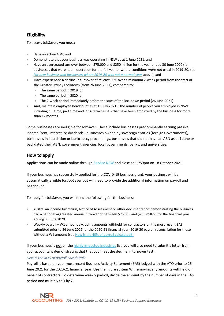# <span id="page-5-0"></span>**Eligibility**

To access JobSaver, you must:

- Have an active ABN; and
- Demonstrate that your business was operating in NSW as at 1 June 2021; and
- Have an aggregated turnover between \$75,000 and \$250 million for the year ended 30 June 2020 (for businesses that were not in operation for the full year or where conditions were not usual in 2019-20, see *[For new business and businesses where 2019-20 was not a normal year](#page-3-0)* above); and
- Have experienced a decline in turnover of at least 30% over a minimum 2-week period from the start of the Greater Sydney Lockdown (from 26 June 2021), compared to:
	- The same period in 2019, or
	- The same period in 2020, or
	- The 2-week period immediately before the start of the lockdown period (26 June 2021).
- And, maintain employee headcount as at 13 July 2021 the number of people you employed in NSW including full time, part time and long-term casuals that have been employed by the business for more than 12 months.

Some businesses are ineligible for JobSaver. These include businesses predominantly earning passive income (rent, interest, or dividends), businesses owned by sovereign entities (foreign Governments), businesses in liquidation or bankruptcy proceedings, businesses that did not have an ABN as at 1 June or backdated their ABN, government agencies, local governments, banks, and universities.

# <span id="page-5-1"></span>**How to apply**

Applications can be made online throug[h Service NSW](https://www.service.nsw.gov.au/transaction/jobsaver-payment) and close at 11:59pm on 18 October 2021.

If your business has successfully applied for the COVID-19 business grant, your business will be automatically eligible for JobSaver but will need to provide the additional information on payroll and headcount.

To apply for JobSaver, you will need the following for the business:

- Australian income tax return, Notice of Assessment or other documentation demonstrating the business had a national aggregated annual turnover of between \$75,000 and \$250 million for the financial year ending 30 June 2020.
- Weekly payroll W1 amount excluding amounts withheld for contractors on the most recent BAS submitted prior to 26 June 2021 for the 2020-21 financial year, 2019-20 payroll reconciliation for those without a W1 amount (se[e How is the 40% of payroll calculated?\)](#page-5-2)

If your business is not on th[e highly impacted industries](https://www.service.nsw.gov.au/jobsaver-payment-guidelines#attachment-a-list-of-highly-impacted-industries) list, you will also need to submit a letter from your accountant demonstrating that that you meet the decline in turnover test.

# <span id="page-5-2"></span>*How is the 40% of payroll calculated?*

Payroll is based on your most recent Business Activity Statement (BAS) lodged with the ATO prior to 26 June 2021 for the 2020-21 financial year. Use the figure at item WI, removing any amounts withheld on behalf of contractors. To determine weekly payroll, divide the amount by the number of days in the BAS period and multiply this by 7.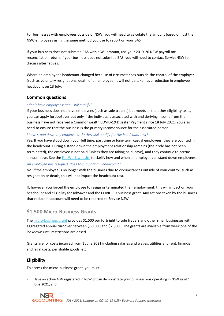For businesses with employees outside of NSW, you will need to calculate the amount based on just the NSW employees using the same method you use to report on your BAS.

If your business does not submit a BAS with a W1 amount, use your 2019-20 NSW payroll tax reconciliation return. If your business does not submit a BAS, you will need to contact ServiceNSW to discuss alternatives.

Where an employer's headcount changed because of circumstances outside the control of the employer (such as voluntary resignations, death of an employee) it will not be taken as a reduction in employee headcount on 13 July.

# <span id="page-6-0"></span>**Common questions**

## <span id="page-6-1"></span>*I don't have employees; can I still qualify?*

If your business does not have employees (such as sole traders) but meets all the other eligibility tests, you can apply for JobSaver but only if the individuals associated with and deriving income from the business have not received a Commonwealth COVID-19 Disaster Payment since 18 July 2021. You also need to ensure that the business is the primary income source for the associated person.

<span id="page-6-2"></span>*I have stood down my employees, do they still qualify for the headcount test?*

Yes. If you have stood down your full time, part time or long-term casual employees, they are counted in the headcount. During a stand down the employment relationship remains (their role has not been terminated), the employee is not paid (unless they are taking paid leave), and they continue to accrue annual leave. See th[e FairWork website](https://coronavirus.fairwork.gov.au/coronavirus-and-australian-workplace-laws/pay-leave-and-stand-downs/stand-downs) to clarify how and when an employer can stand down employees.

#### <span id="page-6-3"></span>*An employee has resigned, does this impact my headcount?*

No. If the employee is no longer with the business due to circumstances outside of your control, such as resignation or death, this will not impact the headcount test.

If, however you forced the employee to resign or terminated their employment, this will impact on your headcount and eligibility for JobSaver and the COVID-19 business grant. Any actions taken by the business that reduce headcount will need to be reported to Service NSW.

# <span id="page-6-4"></span>**\$1,500 Micro-Business Grants**

Th[e micro-business grant](https://www.service.nsw.gov.au/transaction/2021-covid-19-micro-business-grant) provides \$1,500 per fortnight to sole traders and other small businesses with aggregated annual turnover between \$30,000 and \$75,000. The grants are available from week one of the lockdown until restrictions are eased.

Grants are for costs incurred from 1 June 2021 including salaries and wages, utilities and rent, financial and legal costs, perishable goods, etc.

# <span id="page-6-5"></span>**Eligibility**

To access the micro-business grant, you must:

• Have an active ABN registered in NSW or can demonstrate your business was operating in NSW as at 1 June 2021; and



*JULY 2021: Update on COVID-19 NSW Business Support Measures*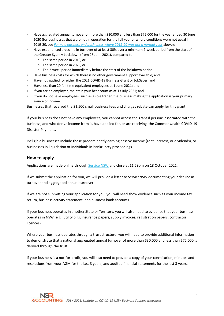- Have aggregated annual turnover of more than \$30,000 and less than \$75,000 for the year ended 30 June 2020 (for businesses that were not in operation for the full year or where conditions were not usual in 2019-20, see *[For new business and businesses where 2019-20 was not a normal year](#page-3-0)* above);
- Have experienced a decline in turnover of at least 30% over a minimum 2-week period from the start of the Greater Sydney Lockdown (from 26 June 2021), compared to
	- o The same period in 2019, or
	- o The same period in 2020, or
	- o The 2-week period immediately before the start of the lockdown period
- Have business costs for which there is no other government support available; and
- Have not applied for either the 2021 COVID-19 Business Grant or JobSaver; and
- Have less than 20 full time equivalent employees at 1 June 2021; and
- If you are an employer, maintain your headcount as at 13 July 2021; and
- If you do not have employees, such as a sole trader, the business making the application is your primary source of income.

Businesses that received the \$1,500 small business fees and charges rebate can apply for this grant.

If your business does not have any employees, you cannot access the grant if persons associated with the business, and who derive income from it, have applied for, or are receiving, the Commonwealth COVID-19 Disaster Payment.

Ineligible businesses include those predominantly earning passive income (rent, interest, or dividends), or businesses in liquidation or individuals in bankruptcy proceedings.

## <span id="page-7-0"></span>**How to apply**

Applications are made online through [Service NSW](https://www.service.nsw.gov.au/transaction/2021-covid-19-micro-business-grant) and close at 11:59pm on 18 October 2021.

If we submit the application for you, we will provide a letter to ServiceNSW documenting your decline in turnover and aggregated annual turnover.

If we are not submitting your application for you, you will need show evidence such as your income tax return, business activity statement, and business bank accounts.

If your business operates in another State or Territory, you will also need to evidence that your business operates in NSW (e.g., utility bills, insurance papers, supply invoices, registration papers, contractor licences).

Where your business operates through a trust structure, you will need to provide additional information to demonstrate that a national aggregated annual turnover of more than \$30,000 and less than \$75,000 is derived through the trust.

If your business is a not-for-profit, you will also need to provide a copy of your constitution, minutes and resolutions from your AGM for the last 3 years, and audited financial statements for the last 3 years.



*JULY 2021: Update on COVID-19 NSW Business Support Measures*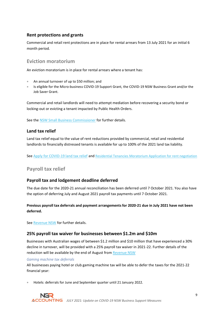# <span id="page-8-0"></span>**Rent protections and grants**

Commercial and retail rent protections are in place for rental arrears from 13 July 2021 for an initial 6 month period.

# <span id="page-8-1"></span>**Eviction moratorium**

An eviction moratorium is in place for rental arrears where a tenant has:

- An annual turnover of up to \$50 million; and
- Is eligible for the Micro-business COVID-19 Support Grant, the COVID-19 NSW Business Grant and/or the Job Saver Grant.

Commercial and retail landlords will need to attempt mediation before recovering a security bond or locking-out or evicting a tenant impacted by Public Health Orders.

See th[e NSW Small Business Commissioner](https://www.smallbusiness.nsw.gov.au/get-help/covid-19/commercial-leases-and-covid-19-faqs) for further details.

# <span id="page-8-2"></span>**Land tax relief**

Land tax relief equal to the value of rent reductions provided by commercial, retail and residential landlords to financially distressed tenants is available for up to 100% of the 2021 land tax liability.

<span id="page-8-3"></span>Se[e Apply for COVID-19 land tax relief](https://www.service.nsw.gov.au/transaction/apply-covid-19-land-tax-relief) and [Residential Tenancies Moratorium Application for rent negotiation](https://www.fairtrading.nsw.gov.au/__data/assets/pdf_file/0008/909728/Application-for-rent-negotiation.pdf)

# **Payroll tax relief**

# <span id="page-8-4"></span>**Payroll tax and lodgement deadline deferred**

The due date for the 2020-21 annual reconciliation has been deferred until 7 October 2021. You also have the option of deferring July and August 2021 payroll tax payments until 7 October 2021.

# **Previous payroll tax deferrals and payment arrangements for 2020-21 due in July 2021 have not been deferred.**

<span id="page-8-5"></span>Se[e Revenue NSW](https://www.revenue.nsw.gov.au/taxes-duties-levies-royalties/payroll-tax) for further details.

# **25% payroll tax waiver for businesses between \$1.2m and \$10m**

Businesses with Australian wages of between \$1.2 million and \$10 million that have experienced a 30% decline in turnover, will be provided with a 25% payroll tax waiver in 2021-22. Further details of the reduction will be available by the end of August fro[m Revenue NSW](https://www.revenue.nsw.gov.au/news-media-releases/covid-19-tax-relief-measures/covid-19-coronavirus-and-payroll-tax)

#### <span id="page-8-6"></span>*Gaming machine tax deferrals*

All businesses paying hotel or club gaming machine tax will be able to defer the taxes for the 2021-22 financial year:

• Hotels: deferrals for June and September quarter until 21 January 2022.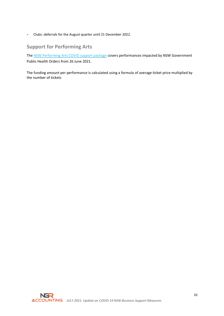<span id="page-9-0"></span>• Clubs: deferrals for the August quarter until 21 December 2022.

# **Support for Performing Arts**

Th[e NSW Performing Arts COVID support package](https://www.create.nsw.gov.au/funding-and-support/nsw-performing-arts-covid-support-package/) covers performances impacted by NSW Government Public Health Orders from 26 June 2021.

The funding amount per performance is calculated using a formula of average ticket price multiplied by the number of tickets

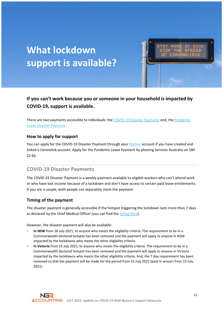# **What lockdown support is available?**

# **If you can't work because you or someone in your household is impacted by COVID-19, support is available.**

There are two payments accessible to individuals: the [COVID-19 Disaster Payment;](#page-2-2) and, the Pandemic [Leave Disaster Payment.](#page-12-0)

# **How to apply for support**

You can apply for the COVID-19 Disaster Payment through your [MyGov](https://my.gov.au/) account if you have created and linked a Centrelink account. Apply for the Pandemic Leave Payment by phoning Services Australia on 180 22 66.

# **COVID-19 Disaster Payments**

The COVID-19 Disaster Payment is a weekly payment available to eligible workers who can't attend work or who have lost income because of a lockdown and don't have access to certain paid leave entitlements. If you are a couple, both people can separately claim the payment.

# **Timing of the payment**

The disaster payment is generally accessible if the hotspot triggering the lockdown lasts more than 7 days as declared by the Chief Medical Officer (you can find th[e listing here\)](https://www.health.gov.au/resources/publications/listing-areas-of-covid-19-local-transmission-as-hotspots).

However, the disaster payment will also be available:

- In NSW from 18 July 2021, to anyone who meets the eligibility criteria. The requirement to be in a Commonwealth declared hotspot has been removed and the payment will apply to anyone in NSW impacted by the lockdowns who meets the other eligibility criteria.
- **In Victoria** from 15 July 2021, to anyone who meets the eligibility criteria. The requirement to be in a Commonwealth declared hotspot has been removed and the payment will apply to anyone in Victoria impacted by the lockdowns who meets the other eligibility criteria. And, the 7 day requirement has been removed so that the payment will be made for the period from 15 July 2021 (paid in arrears from 23 July 2021).

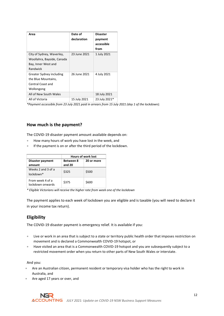| Area                                                                                       | Date of<br>declaration | <b>Disaster</b><br>payment<br>accessible<br>from |
|--------------------------------------------------------------------------------------------|------------------------|--------------------------------------------------|
| City of Sydney, Waverley,<br>Woollahra, Bayside, Canada<br>Bay, Inner West and<br>Randwick | 23 June 2021           | 1 July 2021                                      |
| <b>Greater Sydney including</b><br>the Blue Mountains,<br>Central Coast and<br>Wollongong  | 26 June 2021           | 4 July 2021                                      |
| All of New South Wales                                                                     |                        | 18 July 2021                                     |
| All of Victoria                                                                            | 15 July 2021           | 23 July 2021*                                    |

*\*Payment accessible from 23 July 2021 paid in arrears from 15 July 2021 (day 1 of the lockdown).*

# **How much is the payment?**

The COVID-19 disaster payment amount available depends on:

- How many hours of work you have lost in the week, and
- If the payment is on or after the third period of the lockdown.

|                                      | <b>Hours of work lost</b> |            |  |
|--------------------------------------|---------------------------|------------|--|
| Disaster payment                     | <b>Between 8</b>          | 20 or more |  |
| amount                               | and 20                    |            |  |
| Weeks 2 and 3 of a                   | \$325                     | \$500      |  |
| lockdown*                            |                           |            |  |
| From week 4 of a<br>lockdown onwards | \$375                     | \$600      |  |

*\* Eligible Victorians will receive the higher rate from week one of the lockdown* 

The payment applies to each week of lockdown you are eligible and is taxable (you will need to declare it in your income tax return).

# **Eligibility**

The COVID-19 disaster payment is emergency relief. It is available if you:

- Live or work in an area that is subject to a state or territory public health order that imposes restriction on movement and is declared a Commonwealth COVID-19 hotspot, or
- Have visited an area that is a Commonwealth COVID-19 hotspot and you are subsequently subject to a restricted movement order when you return to other parts of New South Wales or interstate.

And you:

- Are an Australian citizen, permanent resident or temporary visa holder who has the right to work in Australia, and
- Are aged 17 years or over, and

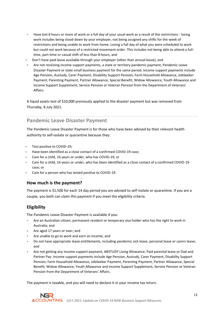- Have lost 8 hours or more of work or a full day of your usual work as a result of the restrictions losing work includes being stood down by your employer, not being assigned any shifts for the week of restrictions and being unable to work from home. Losing a full day of what you were scheduled to work but could not work because of a restricted movement order. This includes not being able to attend a fulltime, part-time or casual shift of less than 8 hours, and
- Don't have paid leave available through your employer (other than annual leave), and
- Are not receiving income support payments, a state or territory pandemic payment, Pandemic Leave Disaster Payment or state small business payment for the same period. Income support payments include Age Pension, Austudy, Carer Payment, Disability Support Pension, Farm Household Allowance, JobSeeker Payment, Parenting Payment, Partner Allowance, Special Benefit, Widow Allowance, Youth Allowance and Income Support Supplement, Service Pension or Veteran Pension from the Department of Veterans' Affairs.

A liquid assets test of \$10,000 previously applied to the disaster payment but was removed from Thursday, 8 July 2021.

# <span id="page-12-0"></span>**Pandemic Leave Disaster Payment**

The Pandemic Leave Disaster Payment is for those who have been advised by their relevant health authority to self-isolate or quarantine because they:

- Test positive to COVID-19;
- Have been identified as a close contact of a confirmed COVID-19 case;
- Care for a child, 16 years or under, who has COVID-19; or
- Care for a child, 16 years or under, who has been identified as a close contact of a confirmed COVID-19 case; or
- Care for a person who has tested positive to COVID-19.

# **How much is the payment?**

The payment is \$1,500 for each 14 day period you are advised to self-isolate or quarantine. If you are a couple, you both can claim this payment if you meet the eligibility criteria.

# **Eligibility**

The Pandemic Leave Disaster Payment is available if you:

- Are an Australian citizen, permanent resident or temporary visa holder who has the right to work in Australia; and
- Are aged 17 years or over; and
- Are unable to go to work and earn an income; and
- Do not have appropriate leave entitlements, including pandemic sick leave, personal leave or carers leave; and
- Are not getting any income support payment, ABSTUDY Living Allowance, Paid parental leave or Dad and Partner Pay. Income support payments include Age Pension, Austudy, Carer Payment, Disability Support Pension, Farm Household Allowance, JobSeeker Payment, Parenting Payment, Partner Allowance, Special Benefit, Widow Allowance, Youth Allowance and Income Support Supplement, Service Pension or Veteran Pension from the Department of Veterans' Affairs.

The payment is taxable, and you will need to declare it in your income tax return.